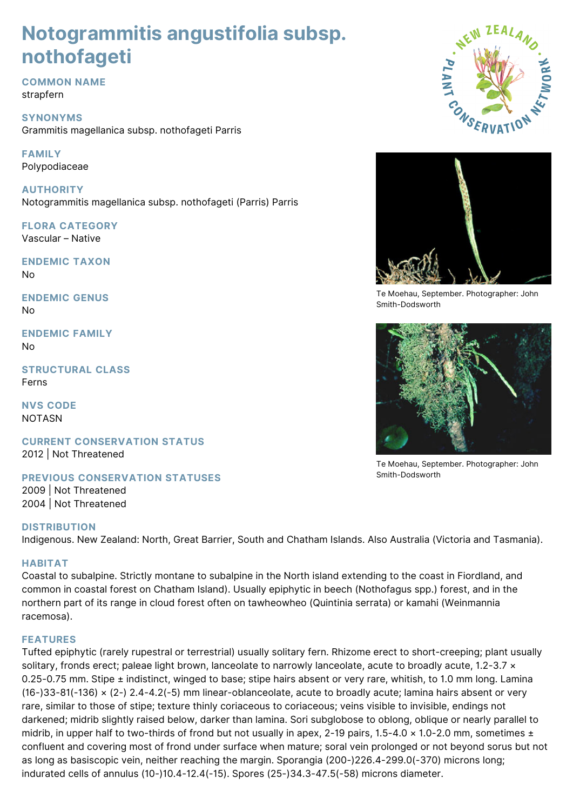# **Notogrammitis angustifolia subsp. nothofageti**

**COMMON NAME** strapfern

**SYNONYMS** Grammitis magellanica subsp. nothofageti Parris

# **FAMILY** Polypodiaceae

**AUTHORITY** Notogrammitis magellanica subsp. nothofageti (Parris) Parris

**FLORA CATEGORY** Vascular – Native

**ENDEMIC TAXON** No

**ENDEMIC GENUS** No

**ENDEMIC FAMILY** No

**STRUCTURAL CLASS** Ferns

**NVS CODE** NOTASN

**CURRENT CONSERVATION STATUS** 2012 | Not Threatened

**PREVIOUS CONSERVATION STATUSES**

2009 | Not Threatened 2004 | Not Threatened

# **DISTRIBUTION**

Indigenous. New Zealand: North, Great Barrier, South and Chatham Islands. Also Australia (Victoria and Tasmania).

# **HABITAT**

Coastal to subalpine. Strictly montane to subalpine in the North island extending to the coast in Fiordland, and common in coastal forest on Chatham Island). Usually epiphytic in beech (Nothofagus spp.) forest, and in the northern part of its range in cloud forest often on tawheowheo (Quintinia serrata) or kamahi (Weinmannia racemosa).

# **FEATURES**

Tufted epiphytic (rarely rupestral or terrestrial) usually solitary fern. Rhizome erect to short-creeping; plant usually solitary, fronds erect; paleae light brown, lanceolate to narrowly lanceolate, acute to broadly acute, 1.2-3.7 × 0.25-0.75 mm. Stipe ± indistinct, winged to base; stipe hairs absent or very rare, whitish, to 1.0 mm long. Lamina (16-)33-81(-136) × (2-) 2.4-4.2(-5) mm linear-oblanceolate, acute to broadly acute; lamina hairs absent or very rare, similar to those of stipe; texture thinly coriaceous to coriaceous; veins visible to invisible, endings not darkened; midrib slightly raised below, darker than lamina. Sori subglobose to oblong, oblique or nearly parallel to midrib, in upper half to two-thirds of frond but not usually in apex, 2-19 pairs, 1.5-4.0  $\times$  1.0-2.0 mm, sometimes  $\pm$ confluent and covering most of frond under surface when mature; soral vein prolonged or not beyond sorus but not as long as basiscopic vein, neither reaching the margin. Sporangia (200-)226.4-299.0(-370) microns long; indurated cells of annulus (10-)10.4-12.4(-15). Spores (25-)34.3-47.5(-58) microns diameter.





Te Moehau, September. Photographer: John Smith-Dodsworth



Te Moehau, September. Photographer: John Smith-Dodsworth